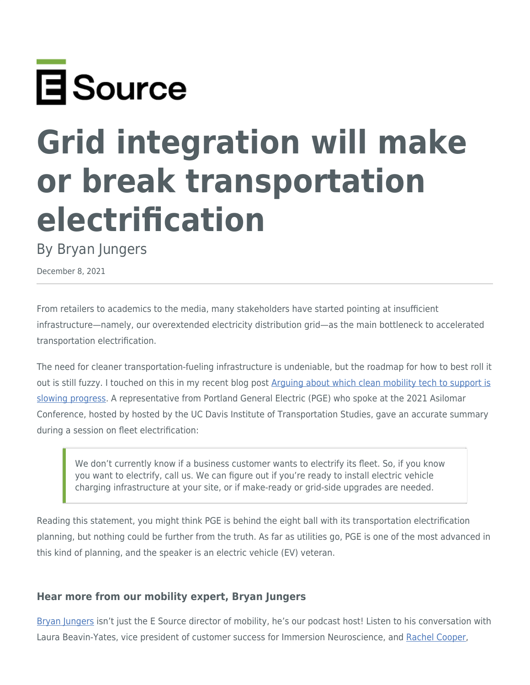

# **Grid integration will make or break transportation electrification**

By Bryan Jungers

December 8, 2021

From retailers to academics to the media, many stakeholders have started pointing at insufficient infrastructure—namely, our overextended electricity distribution grid—as the main bottleneck to accelerated transportation electrification.

The need for cleaner transportation-fueling infrastructure is undeniable, but the roadmap for how to best roll it out is still fuzzy. I touched on this in my recent blog post [Arguing about which clean mobility tech to support is](https://www.esource.com/430211his7/arguing-about-which-clean-mobility-tech-support-slowing-progress) [slowing progress](https://www.esource.com/430211his7/arguing-about-which-clean-mobility-tech-support-slowing-progress). A representative from Portland General Electric (PGE) who spoke at the 2021 Asilomar Conference, hosted by hosted by the UC Davis Institute of Transportation Studies, gave an accurate summary during a session on fleet electrification:

We don't currently know if a business customer wants to electrify its fleet. So, if you know you want to electrify, call us. We can figure out if you're ready to install electric vehicle charging infrastructure at your site, or if make-ready or grid-side upgrades are needed.

Reading this statement, you might think PGE is behind the eight ball with its transportation electrification planning, but nothing could be further from the truth. As far as utilities go, PGE is one of the most advanced in this kind of planning, and the speaker is an electric vehicle (EV) veteran.

## **Hear more from our mobility expert, Bryan Jungers**

[Bryan Jungers](https://www.esource.com/authors/bryan-jungers) isn't just the E Source director of mobility, he's our podcast host! Listen to his conversation with Laura Beavin-Yates, vice president of customer success for Immersion Neuroscience, and [Rachel Cooper](https://www.esource.com/authors/rachel-cooper),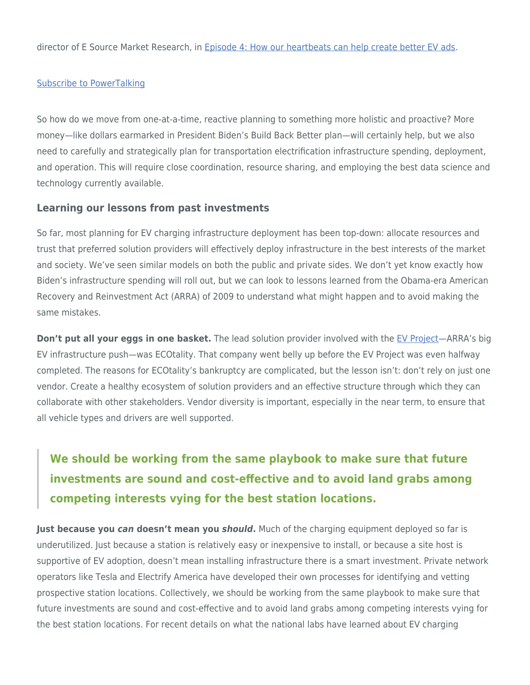director of E Source Market Research, in [Episode 4: How our heartbeats can help create better EV ads](https://www.esource.com/001211hnxp/episode-4-how-our-heartbeats-can-help-create-better-ev-ads).

#### [Subscribe to PowerTalking](https://www.esource.com/PowerTalking-podcast)

So how do we move from one-at-a-time, reactive planning to something more holistic and proactive? More money—like dollars earmarked in President Biden's Build Back Better plan—will certainly help, but we also need to carefully and strategically plan for transportation electrification infrastructure spending, deployment, and operation. This will require close coordination, resource sharing, and employing the best data science and technology currently available.

#### **Learning our lessons from past investments**

So far, most planning for EV charging infrastructure deployment has been top-down: allocate resources and trust that preferred solution providers will effectively deploy infrastructure in the best interests of the market and society. We've seen similar models on both the public and private sides. We don't yet know exactly how Biden's infrastructure spending will roll out, but we can look to lessons learned from the Obama-era American Recovery and Reinvestment Act (ARRA) of 2009 to understand what might happen and to avoid making the same mistakes.

**Don't put all your eggs in one basket.** The lead solution provider involved with the [EV Project—](https://www.energy.gov/eere/vehicles/avta-ev-project)ARRA's big EV infrastructure push—was ECOtality. That company went belly up before the EV Project was even halfway completed. The reasons for ECOtality's bankruptcy are complicated, but the lesson isn't: don't rely on just one vendor. Create a healthy ecosystem of solution providers and an effective structure through which they can collaborate with other stakeholders. Vendor diversity is important, especially in the near term, to ensure that all vehicle types and drivers are well supported.

# **We should be working from the same playbook to make sure that future investments are sound and cost-effective and to avoid land grabs among competing interests vying for the best station locations.**

**Just because you** *can* **doesn't mean you** *should***.** Much of the charging equipment deployed so far is underutilized. Just because a station is relatively easy or inexpensive to install, or because a site host is supportive of EV adoption, doesn't mean installing infrastructure there is a smart investment. Private network operators like Tesla and Electrify America have developed their own processes for identifying and vetting prospective station locations. Collectively, we should be working from the same playbook to make sure that future investments are sound and cost-effective and to avoid land grabs among competing interests vying for the best station locations. For recent details on what the national labs have learned about EV charging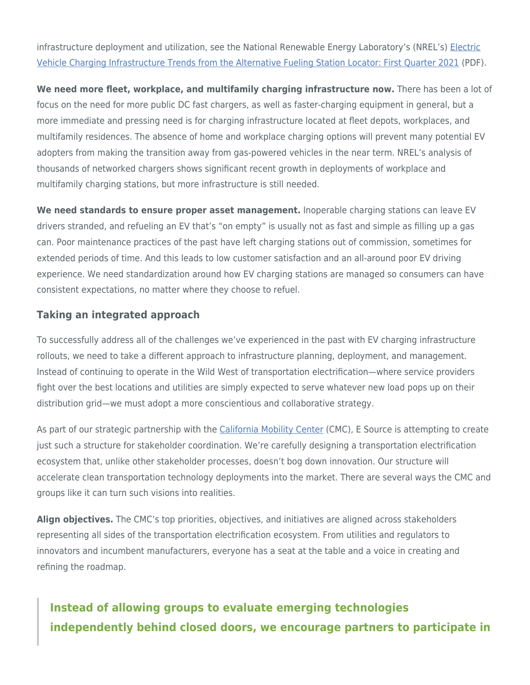infrastructure deployment and utilization, see the National Renewable Energy Laboratory's (NREL's) [Electric](https://www.nrel.gov/docs/fy21osti/80684.pdf) [Vehicle Charging Infrastructure Trends from the Alternative Fueling Station Locator: First Quarter 2021](https://www.nrel.gov/docs/fy21osti/80684.pdf) (PDF).

**We need more fleet, workplace, and multifamily charging infrastructure now.** There has been a lot of focus on the need for more public DC fast chargers, as well as faster-charging equipment in general, but a more immediate and pressing need is for charging infrastructure located at fleet depots, workplaces, and multifamily residences. The absence of home and workplace charging options will prevent many potential EV adopters from making the transition away from gas-powered vehicles in the near term. NREL's analysis of thousands of networked chargers shows significant recent growth in deployments of workplace and multifamily charging stations, but more infrastructure is still needed.

**We need standards to ensure proper asset management.** Inoperable charging stations can leave EV drivers stranded, and refueling an EV that's "on empty" is usually not as fast and simple as filling up a gas can. Poor maintenance practices of the past have left charging stations out of commission, sometimes for extended periods of time. And this leads to low customer satisfaction and an all-around poor EV driving experience. We need standardization around how EV charging stations are managed so consumers can have consistent expectations, no matter where they choose to refuel.

### **Taking an integrated approach**

To successfully address all of the challenges we've experienced in the past with EV charging infrastructure rollouts, we need to take a different approach to infrastructure planning, deployment, and management. Instead of continuing to operate in the Wild West of transportation electrification—where service providers fight over the best locations and utilities are simply expected to serve whatever new load pops up on their distribution grid—we must adopt a more conscientious and collaborative strategy.

As part of our strategic partnership with the [California Mobility Center](https://californiamobilitycenter.org/) (CMC), E Source is attempting to create just such a structure for stakeholder coordination. We're carefully designing a transportation electrification ecosystem that, unlike other stakeholder processes, doesn't bog down innovation. Our structure will accelerate clean transportation technology deployments into the market. There are several ways the CMC and groups like it can turn such visions into realities.

**Align objectives.** The CMC's top priorities, objectives, and initiatives are aligned across stakeholders representing all sides of the transportation electrification ecosystem. From utilities and regulators to innovators and incumbent manufacturers, everyone has a seat at the table and a voice in creating and refining the roadmap.

## **Instead of allowing groups to evaluate emerging technologies independently behind closed doors, we encourage partners to participate in**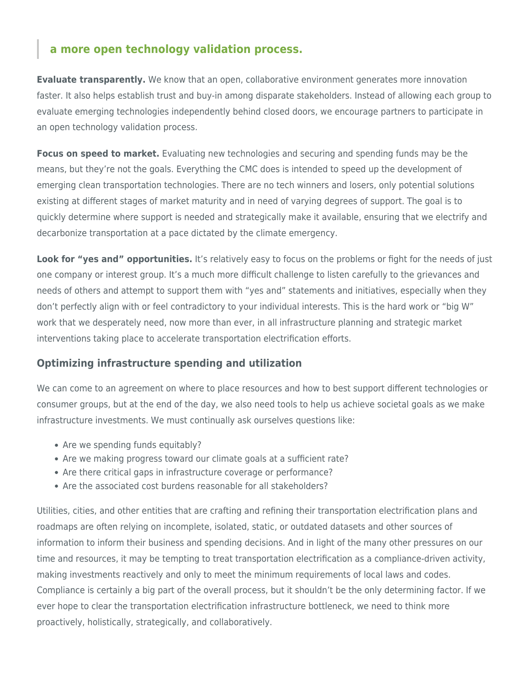## **a more open technology validation process.**

**Evaluate transparently.** We know that an open, collaborative environment generates more innovation faster. It also helps establish trust and buy-in among disparate stakeholders. Instead of allowing each group to evaluate emerging technologies independently behind closed doors, we encourage partners to participate in an open technology validation process.

**Focus on speed to market.** Evaluating new technologies and securing and spending funds may be the means, but they're not the goals. Everything the CMC does is intended to speed up the development of emerging clean transportation technologies. There are no tech winners and losers, only potential solutions existing at different stages of market maturity and in need of varying degrees of support. The goal is to quickly determine where support is needed and strategically make it available, ensuring that we electrify and decarbonize transportation at a pace dictated by the climate emergency.

**Look for "yes and" opportunities.** It's relatively easy to focus on the problems or fight for the needs of just one company or interest group. It's a much more difficult challenge to listen carefully to the grievances and needs of others and attempt to support them with "yes and" statements and initiatives, especially when they don't perfectly align with or feel contradictory to your individual interests. This is the hard work or "big W" work that we desperately need, now more than ever, in all infrastructure planning and strategic market interventions taking place to accelerate transportation electrification efforts.

## **Optimizing infrastructure spending and utilization**

We can come to an agreement on where to place resources and how to best support different technologies or consumer groups, but at the end of the day, we also need tools to help us achieve societal goals as we make infrastructure investments. We must continually ask ourselves questions like:

- Are we spending funds equitably?
- Are we making progress toward our climate goals at a sufficient rate?
- Are there critical gaps in infrastructure coverage or performance?
- Are the associated cost burdens reasonable for all stakeholders?

Utilities, cities, and other entities that are crafting and refining their transportation electrification plans and roadmaps are often relying on incomplete, isolated, static, or outdated datasets and other sources of information to inform their business and spending decisions. And in light of the many other pressures on our time and resources, it may be tempting to treat transportation electrification as a compliance-driven activity, making investments reactively and only to meet the minimum requirements of local laws and codes. Compliance is certainly a big part of the overall process, but it shouldn't be the only determining factor. If we ever hope to clear the transportation electrification infrastructure bottleneck, we need to think more proactively, holistically, strategically, and collaboratively.